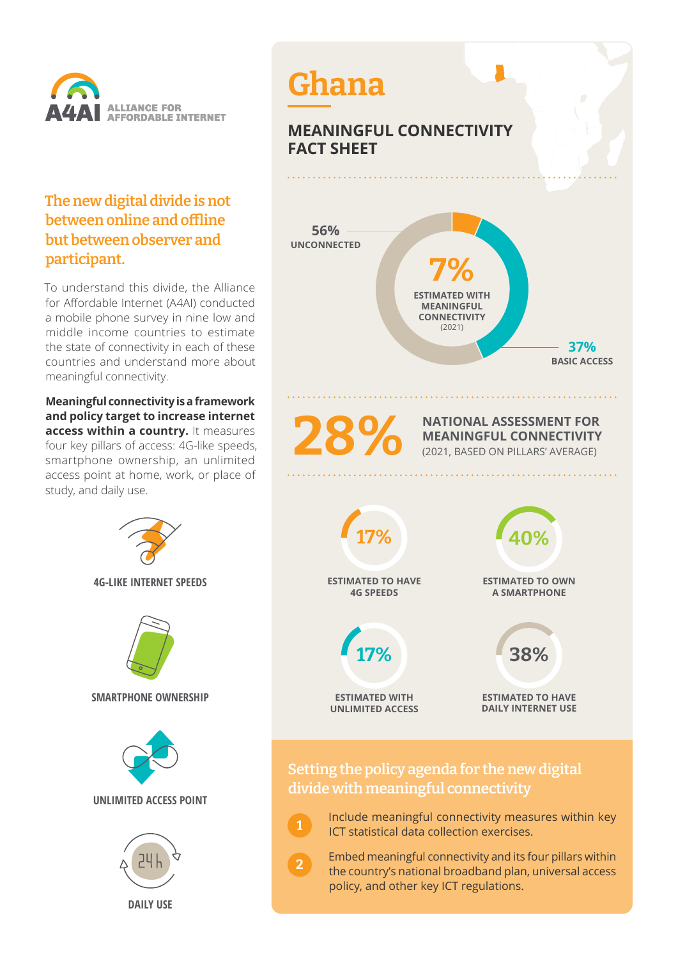

### **The new digital divide is not between online and offline but between observer and participant.**

To understand this divide, the Alliance for Affordable Internet (A4AI) conducted a mobile phone survey in nine low and middle income countries to estimate the state of connectivity in each of these countries and understand more about meaningful connectivity.

**Meaningful connectivity is a framework and policy target to increase internet access within a country.** It measures four key pillars of access: 4G-like speeds, smartphone ownership, an unlimited access point at home, work, or place of study, and daily use.

> **4G-LIKE INTERNET SPEEDS SMARTPHONE OWNERSHIP UNLIMITED ACCESS POINT DAILY USE**



# **MEANINGFUL CONNECTIVITY FACT SHEET**



**NATIONAL ASSESSMENT FOR MEANINGFUL CONNECTIVITY** (2021, BASED ON PILLARS' AVERAGE)



### **Setting the policy agenda for the new digital divide with meaningful connectivity**

**1**

**2**

- Include meaningful connectivity measures within key ICT statistical data collection exercises.
- Embed meaningful connectivity and its four pillars within the country's national broadband plan, universal access policy, and other key ICT regulations.